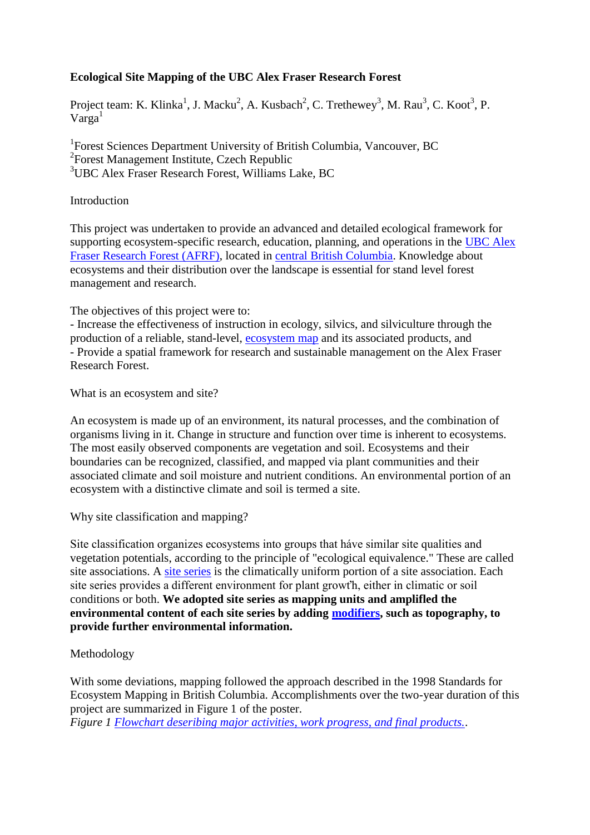# **Ecological Site Mapping of the UBC Alex Fraser Research Forest**

Project team: K. Klinka<sup>1</sup>, J. Macku<sup>2</sup>, A. Kusbach<sup>2</sup>, C. Trethewey<sup>3</sup>, M. Rau<sup>3</sup>, C. Koot<sup>3</sup>, P.  $Varga<sup>1</sup>$ 

<sup>1</sup>Forest Sciences Department University of British Columbia, Vancouver, BC 2 Forest Management Institute, Czech Republic <sup>3</sup>UBC Alex Fraser Research Forest, Williams Lake, BC

#### Introduction

This project was undertaken to provide an advanced and detailed ecological framework for supporting ecosystem-specific research, education, planning, and operations in the [UBC Alex](http://www.forestry.ubc.ca/resfor/afrf/)  [Fraser Research Forest \(AFRF\),](http://www.forestry.ubc.ca/resfor/afrf/) located in [central British Columbia.](http://www.uhul.cz/images/prehled_projektu/ubcafrf/en/bc_map.php) Knowledge about ecosystems and their distribution over the landscape is essential for stand level forest management and research.

The objectives of this project were to:

- Increase the effectiveness of instruction in ecology, silvics, and silviculture through the production of a reliable, stand-level, [ecosystem map](http://www.uhul.cz/images/prehled_projektu/ubcafrf/en/ecosys_map.php) and its associated products, and - Provide a spatial framework for research and sustainable management on the Alex Fraser Research Forest.

What is an ecosystem and site?

An ecosystem is made up of an environment, its natural processes, and the combination of organisms living in it. Change in structure and function over time is inherent to ecosystems. The most easily observed components are vegetation and soil. Ecosystems and their boundaries can be recognized, classified, and mapped via plant communities and their associated climate and soil moisture and nutrient conditions. An environmental portion of an ecosystem with a distinctive climate and soil is termed a site.

Why site classification and mapping?

Site classification organizes ecosystems into groups that háve similar site qualities and vegetation potentials, according to the principle of "ecological equivalence." These are called site associations. A [site series](http://www.uhul.cz/images/prehled_projektu/ubcafrf/en/stan_rady_en.doc) is the climatically uniform portion of a site association. Each site series provides a different environment for plant growťh, either in climatic or soil conditions or both. **We adopted site series as mapping units and amplifled the environmental content of each site series by adding [modifiers,](http://www.uhul.cz/images/prehled_projektu/ubcafrf/en/modifikatory_en.doc) such as topography, to provide further environmental information.**

## Methodology

With some deviations, mapping followed the approach described in the 1998 Standards for Ecosystem Mapping in British Columbia. Accomplishments over the two-year duration of this project are summarized in Figure 1 of the poster.

*Figure 1 [Flowchart deseribing major activities, work progress, and final products.](http://www.uhul.cz/images/prehled_projektu/ubcafrf/en/poster1.php)*.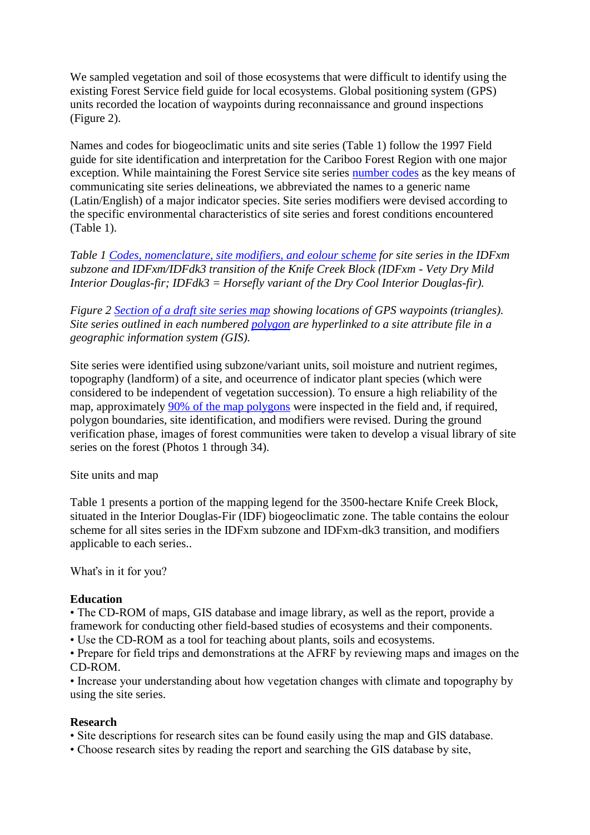We sampled vegetation and soil of those ecosystems that were difficult to identify using the existing Forest Service field guide for local ecosystems. Global positioning system (GPS) units recorded the location of waypoints during reconnaissance and ground inspections (Figure 2).

Names and codes for biogeoclimatic units and site series (Table 1) follow the 1997 Field guide for site identification and interpretation for the Cariboo Forest Region with one major exception. While maintaining the Forest Service site series [number codes](http://www.uhul.cz/images/prehled_projektu/ubcafrf/en/stan_rady_en.doc) as the key means of communicating site series delineations, we abbreviated the names to a generic name (Latin/English) of a major indicator species. Site series modifiers were devised according to the specific environmental characteristics of site series and forest conditions encountered (Table 1).

*Table 1 [Codes, nomenclature, site modifiers, and eolour scheme](http://www.uhul.cz/images/prehled_projektu/ubcafrf/en/poster2.php) for site series in the IDFxm subzone and IDFxm/IDFdk3 transition of the Knife Creek Block (IDFxm - Vety Dry Mild Interior Douglas-fir; IDFdk3 = Horsefly variant of the Dry Cool Interior Douglas-fir).*

*Figure 2 [Section of a draft site series map](http://www.uhul.cz/images/prehled_projektu/ubcafrf/en/poster3.php) showing locations of GPS waypoints (triangles). Site series outlined in each numbered [polygon](http://www.uhul.cz/images/prehled_projektu/ubcafrf/files/polygon/gavin_eco_polys.pdf) are hyperlinked to a site attribute file in a geographic information system (GIS).*

Site series were identified using subzone/variant units, soil moisture and nutrient regimes, topography (landform) of a site, and oceurrence of indicator plant species (which were considered to be independent of vegetation succession). To ensure a high reliability of the map, approximately [90% of the map polygons](http://www.uhul.cz/images/prehled_projektu/ubcafrf/en/polygons.php) were inspected in the field and, if required, polygon boundaries, site identification, and modifiers were revised. During the ground verification phase, images of forest communities were taken to develop a visual library of site series on the forest (Photos 1 through 34).

Site units and map

Table 1 presents a portion of the mapping legend for the 3500-hectare Knife Creek Block, situated in the Interior Douglas-Fir (IDF) biogeoclimatic zone. The table contains the eolour scheme for all sites series in the IDFxm subzone and IDFxm-dk3 transition, and modifiers applicable to each series..

Whaťs in it for you?

## **Education**

• The CD-ROM of maps, GIS database and image library, as well as the report, provide a framework for conducting other field-based studies of ecosystems and their components.

• Use the CD-ROM as a tool for teaching about plants, soils and ecosystems.

• Prepare for field trips and demonstrations at the AFRF by reviewing maps and images on the CD-ROM.

• Increase your understanding about how vegetation changes with climate and topography by using the site series.

## **Research**

• Site descriptions for research sites can be found easily using the map and GIS database.

• Choose research sites by reading the report and searching the GIS database by site,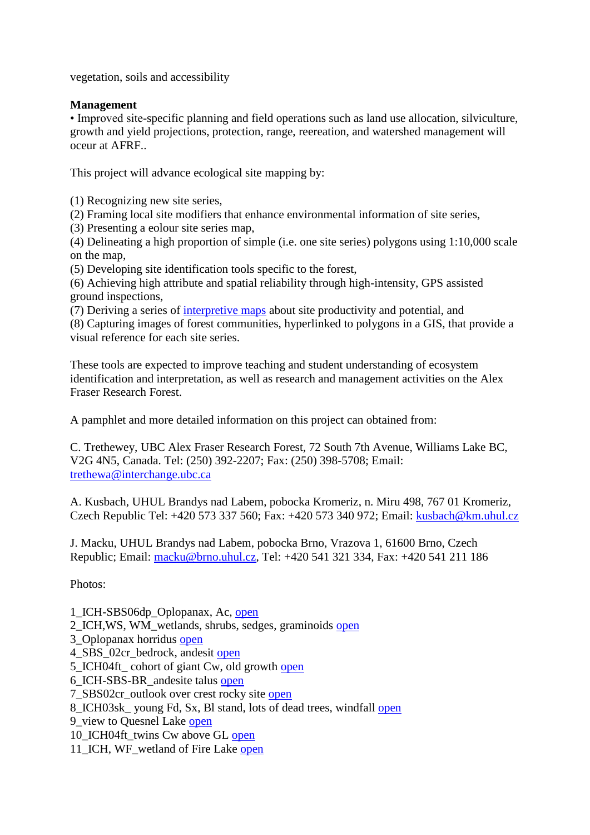vegetation, soils and accessibility

#### **Management**

• Improved site-specific planning and field operations such as land use allocation, silviculture, growth and yield projections, protection, range, reereation, and watershed management will oceur at AFRF..

This project will advance ecological site mapping by:

(1) Recognizing new site series,

(2) Framing local site modifiers that enhance environmental information of site series,

(3) Presenting a eolour site series map,

(4) Delineating a high proportion of simple (i.e. one site series) polygons using 1:10,000 scale on the map,

(5) Developing site identification tools specific to the forest,

(6) Achieving high attribute and spatial reliability through high-intensity, GPS assisted ground inspections,

(7) Deriving a series of [interpretive maps](http://www.uhul.cz/images/prehled_projektu/ubcafrf/en/interpretmap.php) about site productivity and potential, and

(8) Capturing images of forest communities, hyperlinked to polygons in a GIS, that provide a visual reference for each site series.

These tools are expected to improve teaching and student understanding of ecosystem identification and interpretation, as well as research and management activities on the Alex Fraser Research Forest.

A pamphlet and more detailed information on this project can obtained from:

C. Trethewey, UBC Alex Fraser Research Forest, 72 South 7th Avenue, Williams Lake BC, V2G 4N5, Canada. Tel: (250) 392-2207; Fax: (250) 398-5708; Email: [trethewa@interchange.ubc.ca](mailto:trethewa@interchange.ubc.ca)

A. Kusbach, UHUL Brandys nad Labem, pobocka Kromeriz, n. Miru 498, 767 01 Kromeriz, Czech Republic Tel: +420 573 337 560; Fax: +420 573 340 972; Email: [kusbach@km.uhul.cz](mailto:kusbach@km.uhul.cz)

J. Macku, UHUL Brandys nad Labem, pobocka Brno, Vrazova 1, 61600 Brno, Czech Republic; Email: [macku@brno.uhul.cz,](mailto:macku@brno.uhul.cz) Tel: +420 541 321 334, Fax: +420 541 211 186

Photos:

1\_ICH-SBS06dp\_Oplopanax, Ac, [open](http://www.uhul.cz/images/prehled_projektu/ubcafrf/files/foto/01_ICH-SBS06dp_Oplopanax_Ac.jpg)

- 2\_ICH,WS, WM\_wetlands, shrubs, sedges, graminoids [open](http://www.uhul.cz/images/prehled_projektu/ubcafrf/files/foto/02_ICH_WS_WM_wetlands_shrubs_sedges_graminoids.jpg)
- 3\_Oplopanax horridus [open](http://www.uhul.cz/images/prehled_projektu/ubcafrf/files/foto/03_Oplopanax_horridus.jpg)
- 4\_SBS\_02cr\_bedrock, andesit [open](http://www.uhul.cz/images/prehled_projektu/ubcafrf/files/foto/04_SBS_02cr_bedrock_andesit.jpg)
- 5\_ICH04ft\_ cohort of giant Cw, old growth [open](http://www.uhul.cz/images/prehled_projektu/ubcafrf/files/foto/05_ICH04ft_cohort_of_giant_Cw_old_growth.jpg)
- 6\_ICH-SBS-BR\_andesite talus [open](http://www.uhul.cz/images/prehled_projektu/ubcafrf/files/foto/06_ICH-SBS-BR_andesite_talus.jpg)
- 7\_SBS02cr\_outlook over crest rocky site [open](http://www.uhul.cz/images/prehled_projektu/ubcafrf/files/foto/07_SBS02cr_outlook_over_crest_rocky_site.jpg)
- 8\_ICH03sk\_ young Fd, Sx, Bl stand, lots of dead trees, windfall [open](http://www.uhul.cz/images/prehled_projektu/ubcafrf/files/foto/08_ICH03sk_young_Fd_Sx_Bl_stand_lots_of_dead_trees_windfall.jpg)
- 9\_view to Quesnel Lake [open](http://www.uhul.cz/images/prehled_projektu/ubcafrf/files/foto/09_view_to_Quesnel_Lake.jpg)
- 10 ICH04ft twins Cw above GL [open](http://www.uhul.cz/images/prehled_projektu/ubcafrf/files/foto/10_ICH04ft_twins_Cw_above_GL.jpg)
- 11\_ICH, WF\_wetland of Fire Lake [open](http://www.uhul.cz/images/prehled_projektu/ubcafrf/files/foto/11_ICH_WF_wetland_of_Fire_Lake.jpg)